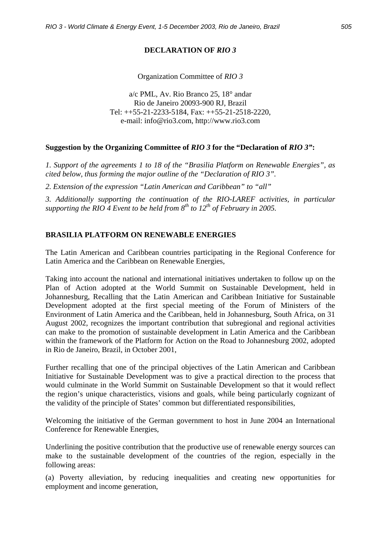## **DECLARATION OF** *RIO 3*

Organization Committee of *RIO 3*

a/c PML, Av. Rio Branco 25, 18° andar Rio de Janeiro 20093-900 RJ, Brazil Tel: ++55-21-2233-5184, Fax: ++55-21-2518-2220, e-mail: info@rio3.com, http://www.rio3.com

## **Suggestion by the Organizing Committee of** *RIO 3* **for the "Declaration of** *RIO 3"***:**

*1. Support of the agreements 1 to 18 of the "Brasilia Platform on Renewable Energies", as cited below, thus forming the major outline of the "Declaration of RIO 3".* 

*2. Extension of the expression "Latin American and Caribbean" to "all"* 

*3. Additionally supporting the continuation of the RIO-LAREF activities, in particular*  supporting the RIO 4 Event to be held from  $8^{th}$  to  $12^{th}$  of February in 2005.

## **BRASILIA PLATFORM ON RENEWABLE ENERGIES**

The Latin American and Caribbean countries participating in the Regional Conference for Latin America and the Caribbean on Renewable Energies,

Taking into account the national and international initiatives undertaken to follow up on the Plan of Action adopted at the World Summit on Sustainable Development, held in Johannesburg, Recalling that the Latin American and Caribbean Initiative for Sustainable Development adopted at the first special meeting of the Forum of Ministers of the Environment of Latin America and the Caribbean, held in Johannesburg, South Africa, on 31 August 2002, recognizes the important contribution that subregional and regional activities can make to the promotion of sustainable development in Latin America and the Caribbean within the framework of the Platform for Action on the Road to Johannesburg 2002, adopted in Rio de Janeiro, Brazil, in October 2001,

Further recalling that one of the principal objectives of the Latin American and Caribbean Initiative for Sustainable Development was to give a practical direction to the process that would culminate in the World Summit on Sustainable Development so that it would reflect the region's unique characteristics, visions and goals, while being particularly cognizant of the validity of the principle of States' common but differentiated responsibilities,

Welcoming the initiative of the German government to host in June 2004 an International Conference for Renewable Energies,

Underlining the positive contribution that the productive use of renewable energy sources can make to the sustainable development of the countries of the region, especially in the following areas:

(a) Poverty alleviation, by reducing inequalities and creating new opportunities for employment and income generation,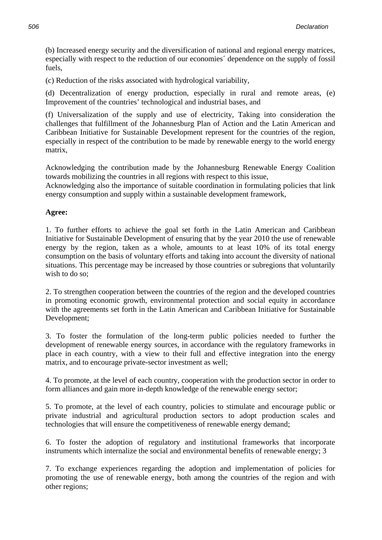(b) Increased energy security and the diversification of national and regional energy matrices, especially with respect to the reduction of our economies´ dependence on the supply of fossil fuels,

(c) Reduction of the risks associated with hydrological variability,

(d) Decentralization of energy production, especially in rural and remote areas, (e) Improvement of the countries' technological and industrial bases, and

(f) Universalization of the supply and use of electricity, Taking into consideration the challenges that fulfillment of the Johannesburg Plan of Action and the Latin American and Caribbean Initiative for Sustainable Development represent for the countries of the region, especially in respect of the contribution to be made by renewable energy to the world energy matrix,

Acknowledging the contribution made by the Johannesburg Renewable Energy Coalition towards mobilizing the countries in all regions with respect to this issue,

Acknowledging also the importance of suitable coordination in formulating policies that link energy consumption and supply within a sustainable development framework,

## **Agree:**

1. To further efforts to achieve the goal set forth in the Latin American and Caribbean Initiative for Sustainable Development of ensuring that by the year 2010 the use of renewable energy by the region, taken as a whole, amounts to at least 10% of its total energy consumption on the basis of voluntary efforts and taking into account the diversity of national situations. This percentage may be increased by those countries or subregions that voluntarily wish to do so:

2. To strengthen cooperation between the countries of the region and the developed countries in promoting economic growth, environmental protection and social equity in accordance with the agreements set forth in the Latin American and Caribbean Initiative for Sustainable Development;

3. To foster the formulation of the long-term public policies needed to further the development of renewable energy sources, in accordance with the regulatory frameworks in place in each country, with a view to their full and effective integration into the energy matrix, and to encourage private-sector investment as well;

4. To promote, at the level of each country, cooperation with the production sector in order to form alliances and gain more in-depth knowledge of the renewable energy sector;

5. To promote, at the level of each country, policies to stimulate and encourage public or private industrial and agricultural production sectors to adopt production scales and technologies that will ensure the competitiveness of renewable energy demand;

6. To foster the adoption of regulatory and institutional frameworks that incorporate instruments which internalize the social and environmental benefits of renewable energy; 3

7. To exchange experiences regarding the adoption and implementation of policies for promoting the use of renewable energy, both among the countries of the region and with other regions;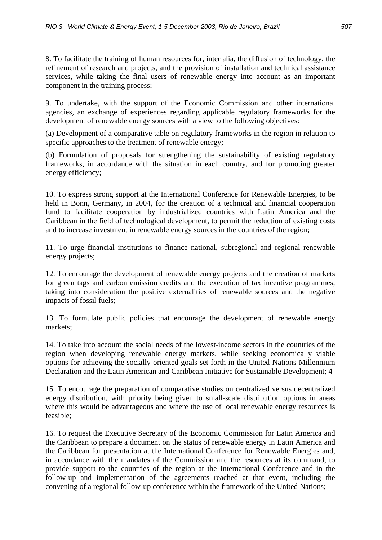8. To facilitate the training of human resources for, inter alia, the diffusion of technology, the refinement of research and projects, and the provision of installation and technical assistance services, while taking the final users of renewable energy into account as an important component in the training process;

9. To undertake, with the support of the Economic Commission and other international agencies, an exchange of experiences regarding applicable regulatory frameworks for the development of renewable energy sources with a view to the following objectives:

(a) Development of a comparative table on regulatory frameworks in the region in relation to specific approaches to the treatment of renewable energy:

(b) Formulation of proposals for strengthening the sustainability of existing regulatory frameworks, in accordance with the situation in each country, and for promoting greater energy efficiency;

10. To express strong support at the International Conference for Renewable Energies, to be held in Bonn, Germany, in 2004, for the creation of a technical and financial cooperation fund to facilitate cooperation by industrialized countries with Latin America and the Caribbean in the field of technological development, to permit the reduction of existing costs and to increase investment in renewable energy sources in the countries of the region;

11. To urge financial institutions to finance national, subregional and regional renewable energy projects;

12. To encourage the development of renewable energy projects and the creation of markets for green tags and carbon emission credits and the execution of tax incentive programmes, taking into consideration the positive externalities of renewable sources and the negative impacts of fossil fuels;

13. To formulate public policies that encourage the development of renewable energy markets;

14. To take into account the social needs of the lowest-income sectors in the countries of the region when developing renewable energy markets, while seeking economically viable options for achieving the socially-oriented goals set forth in the United Nations Millennium Declaration and the Latin American and Caribbean Initiative for Sustainable Development; 4

15. To encourage the preparation of comparative studies on centralized versus decentralized energy distribution, with priority being given to small-scale distribution options in areas where this would be advantageous and where the use of local renewable energy resources is feasible;

16. To request the Executive Secretary of the Economic Commission for Latin America and the Caribbean to prepare a document on the status of renewable energy in Latin America and the Caribbean for presentation at the International Conference for Renewable Energies and, in accordance with the mandates of the Commission and the resources at its command, to provide support to the countries of the region at the International Conference and in the follow-up and implementation of the agreements reached at that event, including the convening of a regional follow-up conference within the framework of the United Nations;